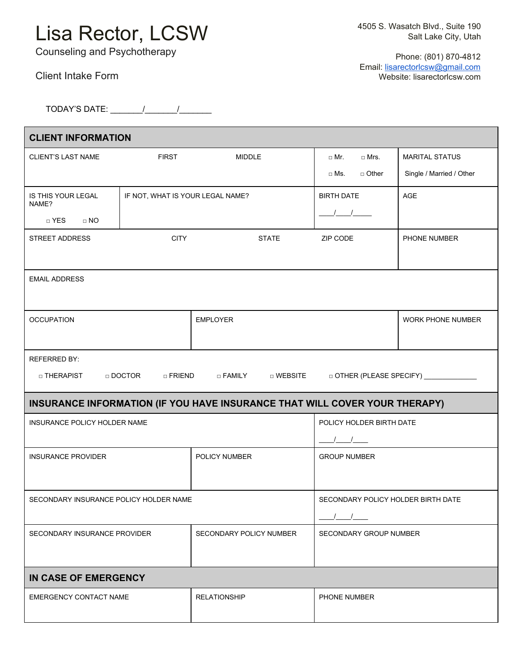## Lisa Rector, LCSW

TODAY'S DATE: \_\_\_\_\_\_\_/\_\_\_\_\_\_\_/\_\_\_\_\_\_\_

Counseling and Psychotherapy

 Phone: (801) 870-4812 Email: [lisarectorlcsw@gmail.com](mailto:lisarectorlcsw@gmail.com) Website: lisarectorlcsw.com

| <b>CLIENT INFORMATION</b>                                                                                       |                             |                                |                                    |                          |
|-----------------------------------------------------------------------------------------------------------------|-----------------------------|--------------------------------|------------------------------------|--------------------------|
| <b>CLIENT'S LAST NAME</b>                                                                                       | <b>FIRST</b>                | <b>MIDDLE</b>                  | $\Box$ Mr.<br>$\Box$ Mrs.          | <b>MARITAL STATUS</b>    |
|                                                                                                                 |                             |                                | □ Other<br>$\Box$ Ms.              | Single / Married / Other |
| IF NOT, WHAT IS YOUR LEGAL NAME?<br><b>IS THIS YOUR LEGAL</b><br>NAME?                                          |                             | <b>BIRTH DATE</b>              | AGE                                |                          |
| □ YES<br>$\Box$ NO                                                                                              |                             |                                | $\frac{1}{2}$                      |                          |
| STREET ADDRESS                                                                                                  | <b>CITY</b><br><b>STATE</b> |                                | ZIP CODE                           | PHONE NUMBER             |
|                                                                                                                 |                             |                                |                                    |                          |
| <b>EMAIL ADDRESS</b>                                                                                            |                             |                                |                                    |                          |
|                                                                                                                 |                             |                                |                                    |                          |
| <b>OCCUPATION</b>                                                                                               |                             | <b>EMPLOYER</b>                |                                    | WORK PHONE NUMBER        |
|                                                                                                                 |                             |                                |                                    |                          |
| <b>REFERRED BY:</b>                                                                                             |                             |                                |                                    |                          |
| $\Box$ DOCTOR<br>$\Box$ FRIEND<br>□ FAMILY<br>□ WEBSITE<br>DOTHER (PLEASE SPECIFY) _____________<br>□ THERAPIST |                             |                                |                                    |                          |
| INSURANCE INFORMATION (IF YOU HAVE INSURANCE THAT WILL COVER YOUR THERAPY)                                      |                             |                                |                                    |                          |
| INSURANCE POLICY HOLDER NAME                                                                                    |                             |                                | POLICY HOLDER BIRTH DATE           |                          |
|                                                                                                                 |                             |                                | $\frac{1}{\sqrt{2}}$               |                          |
| <b>INSURANCE PROVIDER</b>                                                                                       |                             | POLICY NUMBER                  | <b>GROUP NUMBER</b>                |                          |
|                                                                                                                 |                             |                                |                                    |                          |
| SECONDARY INSURANCE POLICY HOLDER NAME                                                                          |                             |                                | SECONDARY POLICY HOLDER BIRTH DATE |                          |
|                                                                                                                 |                             |                                | $\sqrt{2}$                         |                          |
| SECONDARY INSURANCE PROVIDER                                                                                    |                             | <b>SECONDARY POLICY NUMBER</b> | <b>SECONDARY GROUP NUMBER</b>      |                          |
|                                                                                                                 |                             |                                |                                    |                          |
| IN CASE OF EMERGENCY                                                                                            |                             |                                |                                    |                          |
| EMERGENCY CONTACT NAME                                                                                          |                             | <b>RELATIONSHIP</b>            | PHONE NUMBER                       |                          |
|                                                                                                                 |                             |                                |                                    |                          |